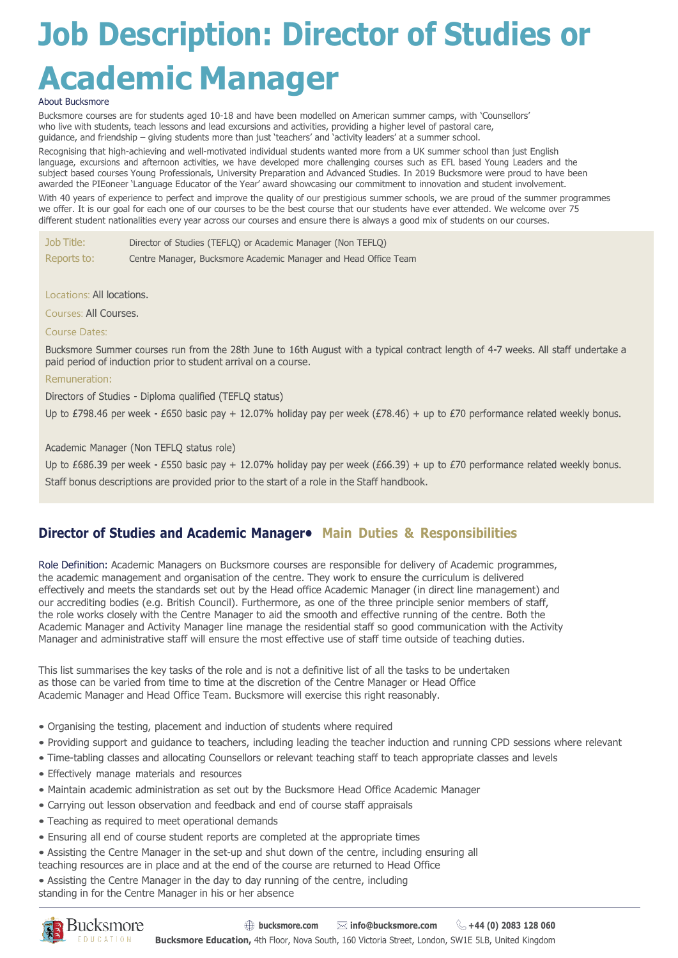# **Job Description: Director of Studies or Academic Manager**

#### About Bucksmore

Bucksmore courses are for students aged 10-18 and have been modelled on American summer camps, with 'Counsellors' who live with students, teach lessons and lead excursions and activities, providing a higher level of pastoral care, guidance, and friendship – giving students more than just 'teachers' and 'activity leaders' at a summer school.

Recognising that high-achieving and well-motivated individual students wanted more from a UK summer school than just English language, excursions and afternoon activities, we have developed more challenging courses such as EFL based Young Leaders and the subject based courses Young Professionals, University Preparation and Advanced Studies. In 2019 Bucksmore were proud to have been awarded the PIEoneer 'Language Educator of the Year' award showcasing our commitment to innovation and student involvement. With 40 years of experience to perfect and improve the quality of our prestigious summer schools, we are proud of the summer programmes we offer. It is our goal for each one of our courses to be the best course that our students have ever attended. We welcome over 75 different student nationalities every year across our courses and ensure there is always a good mix of students on our courses.

| Job Title:  | Director of Studies (TEFLO) or Academic Manager (Non TEFLO)     |
|-------------|-----------------------------------------------------------------|
| Reports to: | Centre Manager, Bucksmore Academic Manager and Head Office Team |

Locations: All locations.

Courses: All Courses.

### Course Dates:

Bucksmore Summer courses run from the 28th June to 16th August with a typical contract length of 4-7 weeks. All staff undertake a paid period of induction prior to student arrival on a course.

#### Remuneration:

Directors of Studies - Diploma qualified (TEFLQ status)

Up to £798.46 per week - £650 basic pay + 12.07% holiday pay per week (£78.46) + up to £70 performance related weekly bonus.

Academic Manager (Non TEFLQ status role)

Up to £686.39 per week - £550 basic pay + 12.07% holiday pay per week (£66.39) + up to £70 performance related weekly bonus. Staff bonus descriptions are provided prior to the start of a role in the Staff handbook.

## **Director of Studies and Academic Manager• Main Duties & Responsibilities**

Role Definition: Academic Managers on Bucksmore courses are responsible for delivery of Academic programmes, the academic management and organisation of the centre. They work to ensure the curriculum is delivered effectively and meets the standards set out by the Head office Academic Manager (in direct line management) and our accrediting bodies (e.g. British Council). Furthermore, as one of the three principle senior members of staff, the role works closely with the Centre Manager to aid the smooth and effective running of the centre. Both the Academic Manager and Activity Manager line manage the residential staff so good communication with the Activity Manager and administrative staff will ensure the most effective use of staff time outside of teaching duties.

This list summarises the key tasks of the role and is not a definitive list of all the tasks to be undertaken as those can be varied from time to time at the discretion of the Centre Manager or Head Office Academic Manager and Head Office Team. Bucksmore will exercise this right reasonably.

- Organising the testing, placement and induction of students where required
- Providing support and guidance to teachers, including leading the teacher induction and running CPD sessions where relevant
- Time-tabling classes and allocating Counsellors or relevant teaching staff to teach appropriate classes and levels
- Effectively manage materials and resources
- Maintain academic administration as set out by the Bucksmore Head Office Academic Manager
- Carrying out lesson observation and feedback and end of course staff appraisals
- Teaching as required to meet operational demands
- Ensuring all end of course student reports are completed at the appropriate times
- Assisting the Centre Manager in the set-up and shut down of the centre, including ensuring all teaching resources are in place and at the end of the course are returned to Head Office
- Assisting the Centre Manager in the day to day running of the centre, including

standing in for the Centre Manager in his or her absence

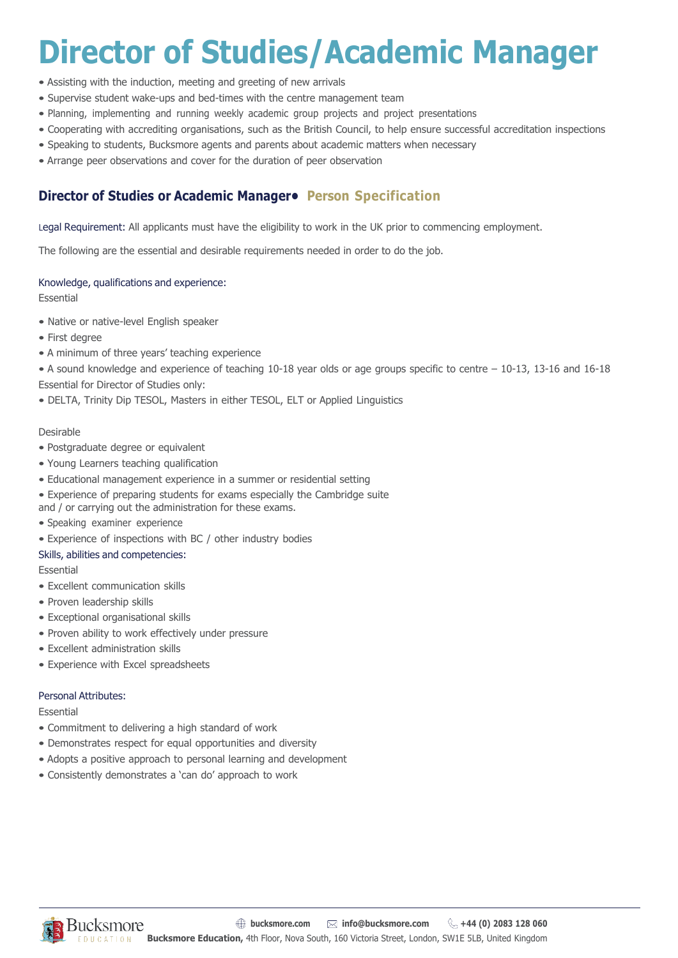## **Director of Studies/Academic Manager**

- Assisting with the induction, meeting and greeting of new arrivals
- Supervise student wake-ups and bed-times with the centre management team
- Planning, implementing and running weekly academic group projects and project presentations
- Cooperating with accrediting organisations, such as the British Council, to help ensure successful accreditation inspections
- Speaking to students, Bucksmore agents and parents about academic matters when necessary
- Arrange peer observations and cover for the duration of peer observation

## **Director of Studies or Academic Manager• Person Specification**

Legal Requirement: All applicants must have the eligibility to work in the UK prior to commencing employment.

The following are the essential and desirable requirements needed in order to do the job.

## Knowledge, qualifications and experience:

Essential

- Native or native-level English speaker
- First degree
- A minimum of three years' teaching experience
- A sound knowledge and experience of teaching 10-18 year olds or age groups specific to centre 10-13, 13-16 and 16-18 Essential for Director of Studies only:
- DELTA, Trinity Dip TESOL, Masters in either TESOL, ELT or Applied Linguistics

## Desirable

- Postgraduate degree or equivalent
- Young Learners teaching qualification
- Educational management experience in a summer or residential setting
- Experience of preparing students for exams especially the Cambridge suite

and / or carrying out the administration for these exams.

- Speaking examiner experience
- Experience of inspections with BC / other industry bodies
- Skills, abilities and competencies:

Essential

- Excellent communication skills
- Proven leadership skills
- Exceptional organisational skills
- Proven ability to work effectively under pressure
- Excellent administration skills
- Experience with Excel spreadsheets

## Personal Attributes:

Essential

- Commitment to delivering a high standard of work
- Demonstrates respect for equal opportunities and diversity
- Adopts a positive approach to personal learning and development
- Consistently demonstrates a 'can do' approach to work